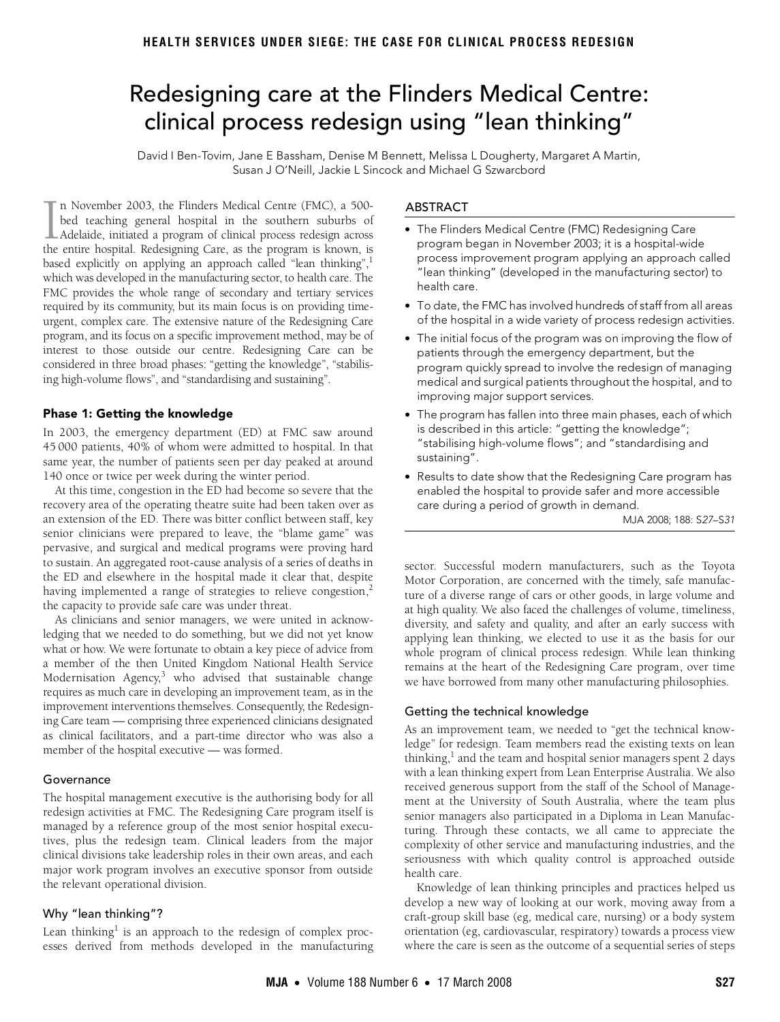# <span id="page-0-0"></span>Redesigning care at the Flinders Medical Centre: clinical process redesign using "lean thinking"

David I Ben-Tovim, Jane E Bassham, Denise M Bennett, Melissa L Dougherty, Margaret A Martin, Susan J O'Neill, Jackie L Sincock and Michael G Szwarcbord

considered in three broad phases: "getting the knowledge", "stabilis- $\sigma$ <sub>2</sub><br> $\sigma$ <sub>2</sub> March 2008 17 March 2009 standardisin ing high-volume flows", and "standardising and sustaining". n November 2003, the Flinders Medical Centre (FMC), a 500 bed teaching general hospital in the southern suburbs of Adelaide, initiated a program of clinical process redesign across In November 2003, the Flinders Medical Centre (FMC), a 500-<br>bed teaching general hospital in the southern suburbs of<br>Adelaide, initiated a program of clinical process redesign across<br>the entire hospital. Redesigning Care, based explicitly on applying an approach called "lean thinking", $\frac{1}{1}$  $\frac{1}{1}$  $\frac{1}{1}$ which was developed in the manufacturing sector, to health care. The FMC provides the whole range of secondary and tertiary services required by its community, but its main focus is on providing timeurgent, complex care. The extensive nature of the Redesigning Care program, and its focus on a specific improvement method, may be of interest to those outside our centre. Redesigning Care can be

# Phase 1: Getting the knowledge

In 2003, the emergency department (ED) at FMC saw around 45 000 patients, 40% of whom were admitted to hospital. In that same year, the number of patients seen per day peaked at around 140 once or twice per week during the winter period.

At this time, congestion in the ED had become so severe that the recovery area of the operating theatre suite had been taken over as an extension of the ED. There was bitter conflict between staff, key senior clinicians were prepared to leave, the "blame game" was pervasive, and surgical and medical programs were proving hard to sustain. An aggregated root-cause analysis of a series of deaths in the ED and elsewhere in the hospital made it clear that, despite having implemented a range of strategies to relieve congestion, $2$ the capacity to provide safe care was under threat.

As clinicians and senior managers, we were united in acknowledging that we needed to do something, but we did not yet know what or how. We were fortunate to obtain a key piece of advice from a member of the then United Kingdom National Health Service Modernisation Agency,<sup>[3](#page-4-2)</sup> who advised that sustainable change requires as much care in developing an improvement team, as in the improvement interventions themselves. Consequently, the Redesigning Care team — comprising three experienced clinicians designated as clinical facilitators, and a part-time director who was also a member of the hospital executive — was formed.

## Governance

The hospital management executive is the authorising body for all redesign activities at FMC. The Redesigning Care program itself is managed by a reference group of the most senior hospital executives, plus the redesign team. Clinical leaders from the major clinical divisions take leadership roles in their own areas, and each major work program involves an executive sponsor from outside the relevant operational division.

## Why "lean thinking"?

Lean thinking $^{\rm l}$  is an approach to the redesign of complex processes derived from methods developed in the manufacturing

## ABSTRACT

- The Flinders Medical Centre (FMC) Redesigning Care program began in November 2003; it is a hospital-wide process improvement program applying an approach called "lean thinking" (developed in the manufacturing sector) to health care.
- To date, the FMC has involved hundreds of staff from all areas of the hospital in a wide variety of process redesign activities.
- The initial focus of the program was on improving the flow of patients through the emergency department, but the program quickly spread to involve the redesign of managing medical and surgical patients throughout the hospital, and to improving major support services.
- The program has fallen into three main phases, each of which is described in this article: "getting the knowledge"; "stabilising high-volume flows"; and "standardising and sustaining".
- Results to date show that the Redesigning Care program has enabled the hospital to provide safer and more accessible care during a period of growth in demand.

MJA 2008; 188: S27–S31

sector. Successful modern manufacturers, such as the Toyota Motor Corporation, are concerned with the timely, safe manufacture of a diverse range of cars or other goods, in large volume and at high quality. We also faced the challenges of volume, timeliness, diversity, and safety and quality, and after an early success with applying lean thinking, we elected to use it as the basis for our whole program of clinical process redesign. While lean thinking remains at the heart of the Redesigning Care program, over time we have borrowed from many other manufacturing philosophies.

#### Getting the technical knowledge

As an improvement team, we needed to "get the technical knowledge" for redesign. Team members read the existing texts on lean thinking, $^1$  $^1$  and the team and hospital senior managers spent 2 days with a lean thinking expert from Lean Enterprise Australia. We also received generous support from the staff of the School of Management at the University of South Australia, where the team plus senior managers also participated in a Diploma in Lean Manufacturing. Through these contacts, we all came to appreciate the complexity of other service and manufacturing industries, and the seriousness with which quality control is approached outside health care.

Knowledge of lean thinking principles and practices helped us develop a new way of looking at our work, moving away from a craft-group skill base (eg, medical care, nursing) or a body system orientation (eg, cardiovascular, respiratory) towards a process view where the care is seen as the outcome of a sequential series of steps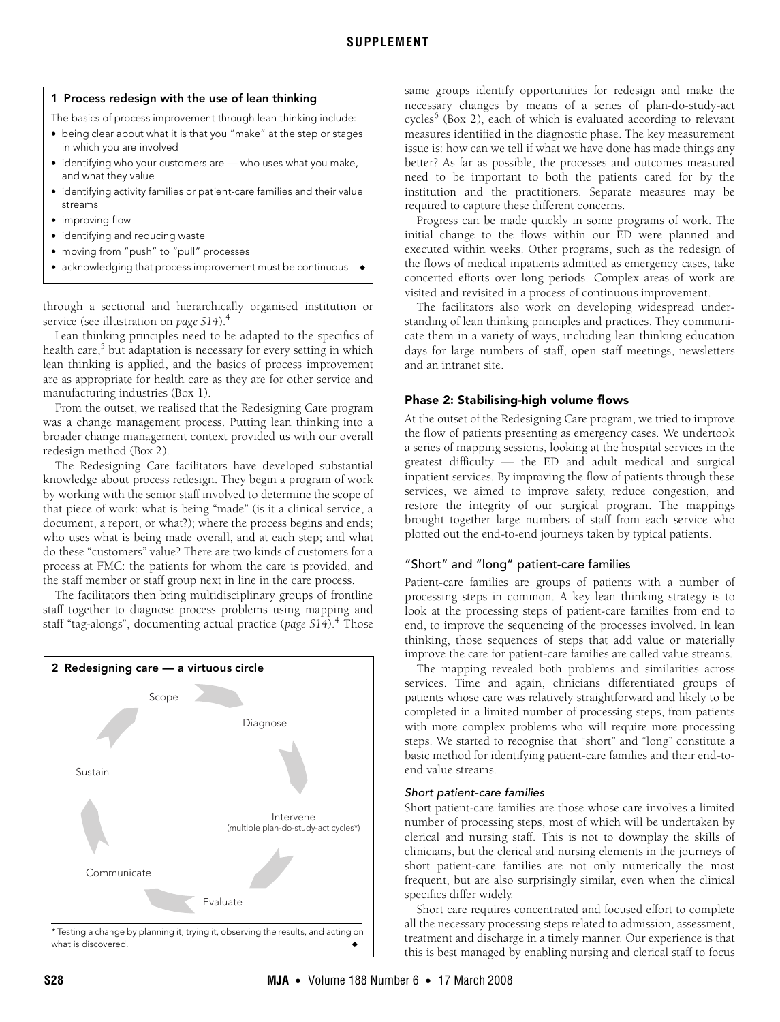#### <span id="page-1-0"></span>1 Process redesign with the use of lean thinking

The basics of process improvement through lean thinking include:

- being clear about what it is that you "make" at the step or stages in which you are involved
- identifying who your customers are who uses what you make, and what they value
- identifying activity families or patient-care families and their value streams
- improving flow
- identifying and reducing waste
- moving from "push" to "pull" processes
- acknowledging that process improvement must be continuous ◆

through a sectional and hierarchically organised institution or service (see illustration on *page S14*)[.4](#page-4-4)

Lean thinking principles need to be adapted to the specifics of health care,<sup>[5](#page-4-6)</sup> but adaptation is necessary for every setting in which lean thinking is applied, and the basics of process improvement are as appropriate for health care as they are for other service and manufacturing industries ([Box 1\)](#page-1-0).

From the outset, we realised that the Redesigning Care program was a change management process. Putting lean thinking into a broader change management context provided us with our overall redesign method [\(Box 2](#page-1-1)).

The Redesigning Care facilitators have developed substantial knowledge about process redesign. They begin a program of work by working with the senior staff involved to determine the scope of that piece of work: what is being "made" (is it a clinical service, a document, a report, or what?); where the process begins and ends; who uses what is being made overall, and at each step; and what do these "customers" value? There are two kinds of customers for a process at FMC: the patients for whom the care is provided, and the staff member or staff group next in line in the care process.

The facilitators then bring multidisciplinary groups of frontline staff together to diagnose process problems using mapping and staff "tag-alongs", documenting actual practice (*page S14*).[4](#page-4-4) Those

<span id="page-1-1"></span>

same groups identify opportunities for redesign and make the necessary changes by means of a series of plan-do-study-act cycles<sup>[6](#page-4-5)</sup> [\(Box 2](#page-1-1)), each of which is evaluated according to relevant measures identified in the diagnostic phase. The key measurement issue is: how can we tell if what we have done has made things any better? As far as possible, the processes and outcomes measured need to be important to both the patients cared for by the institution and the practitioners. Separate measures may be required to capture these different concerns.

Progress can be made quickly in some programs of work. The initial change to the flows within our ED were planned and executed within weeks. Other programs, such as the redesign of the flows of medical inpatients admitted as emergency cases, take concerted efforts over long periods. Complex areas of work are visited and revisited in a process of continuous improvement.

The facilitators also work on developing widespread understanding of lean thinking principles and practices. They communicate them in a variety of ways, including lean thinking education days for large numbers of staff, open staff meetings, newsletters and an intranet site.

## Phase 2: Stabilising-high volume flows

At the outset of the Redesigning Care program, we tried to improve the flow of patients presenting as emergency cases. We undertook a series of mapping sessions, looking at the hospital services in the greatest difficulty — the ED and adult medical and surgical inpatient services. By improving the flow of patients through these services, we aimed to improve safety, reduce congestion, and restore the integrity of our surgical program. The mappings brought together large numbers of staff from each service who plotted out the end-to-end journeys taken by typical patients.

## "Short" and "long" patient-care families

Patient-care families are groups of patients with a number of processing steps in common. A key lean thinking strategy is to look at the processing steps of patient-care families from end to end, to improve the sequencing of the processes involved. In lean thinking, those sequences of steps that add value or materially improve the care for patient-care families are called value streams.

The mapping revealed both problems and similarities across services. Time and again, clinicians differentiated groups of patients whose care was relatively straightforward and likely to be completed in a limited number of processing steps, from patients with more complex problems who will require more processing steps. We started to recognise that "short" and "long" constitute a basic method for identifying patient-care families and their end-toend value streams.

## Short patient-care families

Short patient-care families are those whose care involves a limited number of processing steps, most of which will be undertaken by clerical and nursing staff. This is not to downplay the skills of clinicians, but the clerical and nursing elements in the journeys of short patient-care families are not only numerically the most frequent, but are also surprisingly similar, even when the clinical specifics differ widely.

Short care requires concentrated and focused effort to complete all the necessary processing steps related to admission, assessment, treatment and discharge in a timely manner. Our experience is that this is best managed by enabling nursing and clerical staff to focus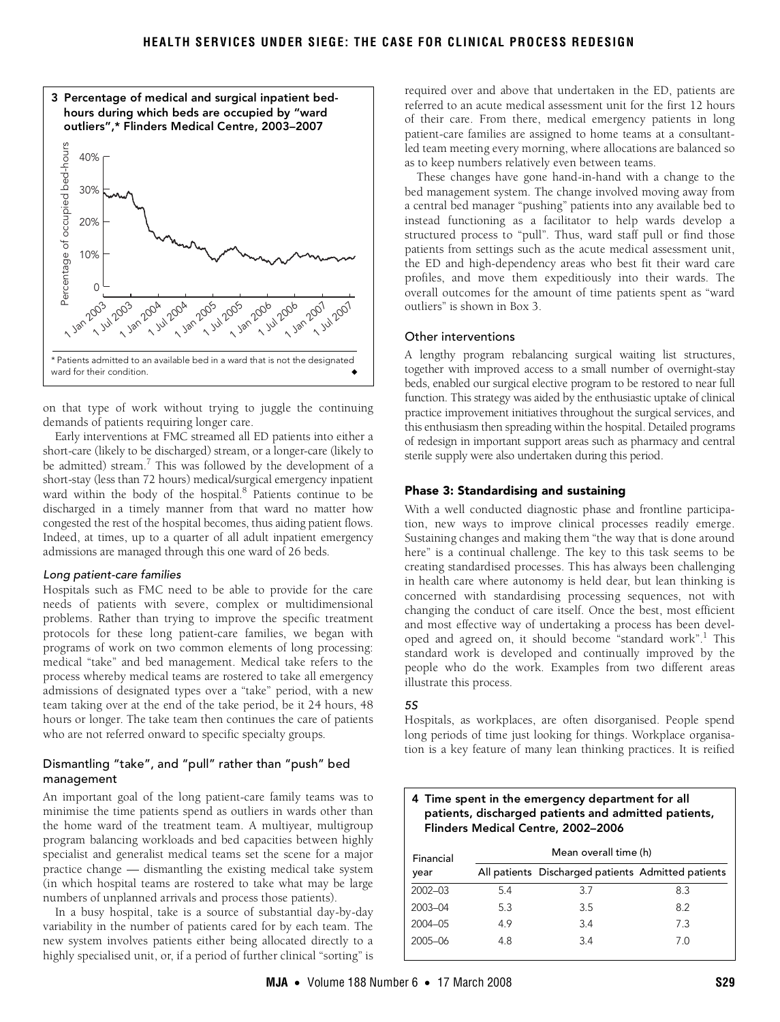<span id="page-2-0"></span>

on that type of work without trying to juggle the continuing demands of patients requiring longer care.

Early interventions at FMC streamed all ED patients into either a short-care (likely to be discharged) stream, or a longer-care (likely to be admitted) stream.<sup>[7](#page-4-7)</sup> This was followed by the development of a short-stay (less than 72 hours) medical/surgical emergency inpatient ward within the body of the hospital.<sup>8</sup> Patients continue to be discharged in a timely manner from that ward no matter how congested the rest of the hospital becomes, thus aiding patient flows. Indeed, at times, up to a quarter of all adult inpatient emergency admissions are managed through this one ward of 26 beds.

## Long patient-care families

Hospitals such as FMC need to be able to provide for the care needs of patients with severe, complex or multidimensional problems. Rather than trying to improve the specific treatment protocols for these long patient-care families, we began with programs of work on two common elements of long processing: medical "take" and bed management. Medical take refers to the process whereby medical teams are rostered to take all emergency admissions of designated types over a "take" period, with a new team taking over at the end of the take period, be it 24 hours, 48 hours or longer. The take team then continues the care of patients who are not referred onward to specific specialty groups.

## Dismantling "take", and "pull" rather than "push" bed management

An important goal of the long patient-care family teams was to minimise the time patients spend as outliers in wards other than the home ward of the treatment team. A multiyear, multigroup program balancing workloads and bed capacities between highly specialist and generalist medical teams set the scene for a major practice change — dismantling the existing medical take system (in which hospital teams are rostered to take what may be large numbers of unplanned arrivals and process those patients).

In a busy hospital, take is a source of substantial day-by-day variability in the number of patients cared for by each team. The new system involves patients either being allocated directly to a highly specialised unit, or, if a period of further clinical "sorting" is

required over and above that undertaken in the ED, patients are referred to an acute medical assessment unit for the first 12 hours of their care. From there, medical emergency patients in long patient-care families are assigned to home teams at a consultantled team meeting every morning, where allocations are balanced so as to keep numbers relatively even between teams.

These changes have gone hand-in-hand with a change to the bed management system. The change involved moving away from a central bed manager "pushing" patients into any available bed to instead functioning as a facilitator to help wards develop a structured process to "pull". Thus, ward staff pull or find those patients from settings such as the acute medical assessment unit, the ED and high-dependency areas who best fit their ward care profiles, and move them expeditiously into their wards. The overall outcomes for the amount of time patients spent as "ward outliers" is shown in [Box 3](#page-2-0).

#### Other interventions

A lengthy program rebalancing surgical waiting list structures, together with improved access to a small number of overnight-stay beds, enabled our surgical elective program to be restored to near full function. This strategy was aided by the enthusiastic uptake of clinical practice improvement initiatives throughout the surgical services, and this enthusiasm then spreading within the hospital. Detailed programs of redesign in important support areas such as pharmacy and central sterile supply were also undertaken during this period.

## Phase 3: Standardising and sustaining

With a well conducted diagnostic phase and frontline participation, new ways to improve clinical processes readily emerge. Sustaining changes and making them "the way that is done around here" is a continual challenge. The key to this task seems to be creating standardised processes. This has always been challenging in health care where autonomy is held dear, but lean thinking is concerned with standardising processing sequences, not with changing the conduct of care itself. Once the best, most efficient and most effective way of undertaking a process has been devel-oped and agreed on, it should become "standard work".<sup>[1](#page-4-0)</sup> This standard work is developed and continually improved by the people who do the work. Examples from two different areas illustrate this process.

## 5S

Hospitals, as workplaces, are often disorganised. People spend long periods of time just looking for things. Workplace organisation is a key feature of many lean thinking practices. It is reified

## <span id="page-2-1"></span>4 Time spent in the emergency department for all patients, discharged patients and admitted patients, Flinders Medical Centre, 2002–2006

| Financial<br>year | Mean overall time (h) |                                                    |     |  |  |
|-------------------|-----------------------|----------------------------------------------------|-----|--|--|
|                   |                       | All patients Discharged patients Admitted patients |     |  |  |
| $2002 - 03$       | 5.4                   | 37                                                 | 8.3 |  |  |
| $2003 - 04$       | 5.3                   | 3.5                                                | 8.2 |  |  |
| $2004 - 05$       | 4.9                   | 3.4                                                | 7.3 |  |  |
| 2005-06           | 4.8                   | 34                                                 | 7 O |  |  |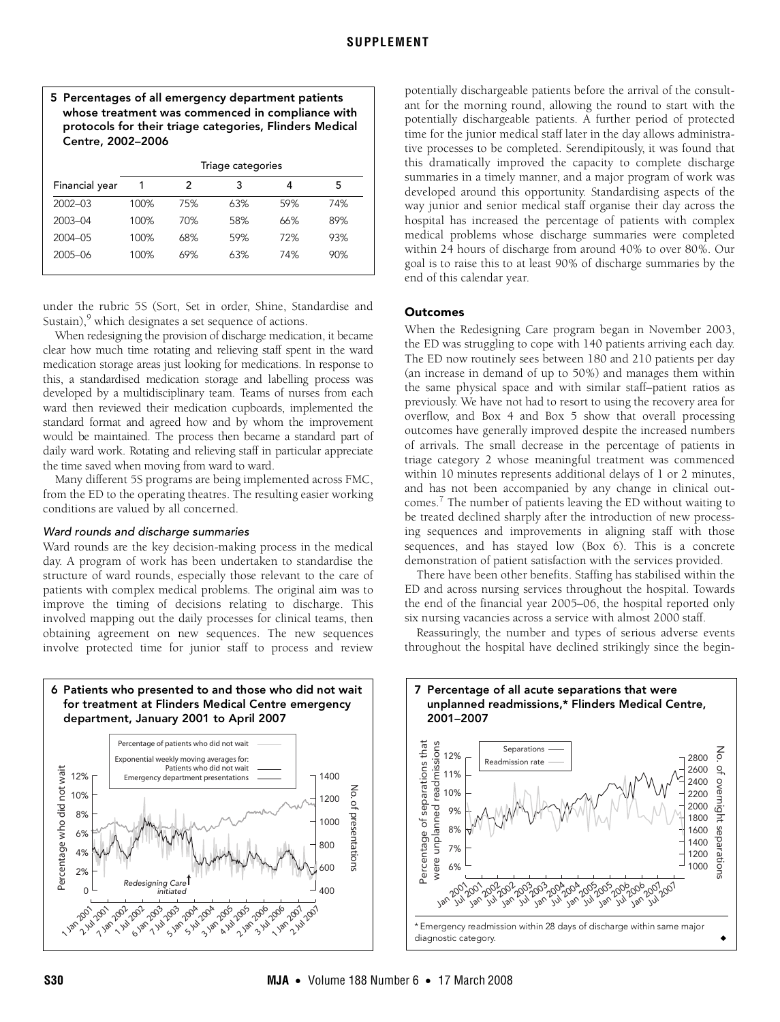<span id="page-3-0"></span>5 Percentages of all emergency department patients whose treatment was commenced in compliance with protocols for their triage categories, Flinders Medical Centre, 2002–2006

|                | Triage categories |     |     |     |     |  |
|----------------|-------------------|-----|-----|-----|-----|--|
| Financial year |                   | 2   | 3   | 4   | 5   |  |
| $2002 - 03$    | 100%              | 75% | 63% | 59% | 74% |  |
| $2003 - 04$    | 100%              | 70% | 58% | 66% | 89% |  |
| $2004 - 05$    | 100%              | 68% | 59% | 72% | 93% |  |
| 2005-06        | 100%              | 69% | 63% | 74% | 90% |  |
|                |                   |     |     |     |     |  |

under the rubric 5S (Sort, Set in order, Shine, Standardise and Sustain), $9$  which designates a set sequence of actions.

When redesigning the provision of discharge medication, it became clear how much time rotating and relieving staff spent in the ward medication storage areas just looking for medications. In response to this, a standardised medication storage and labelling process was developed by a multidisciplinary team. Teams of nurses from each ward then reviewed their medication cupboards, implemented the standard format and agreed how and by whom the improvement would be maintained. The process then became a standard part of daily ward work. Rotating and relieving staff in particular appreciate the time saved when moving from ward to ward.

Many different 5S programs are being implemented across FMC, from the ED to the operating theatres. The resulting easier working conditions are valued by all concerned.

#### Ward rounds and discharge summaries

Ward rounds are the key decision-making process in the medical day. A program of work has been undertaken to standardise the structure of ward rounds, especially those relevant to the care of patients with complex medical problems. The original aim was to improve the timing of decisions relating to discharge. This involved mapping out the daily processes for clinical teams, then obtaining agreement on new sequences. The new sequences involve protected time for junior staff to process and review

<span id="page-3-1"></span>

potentially dischargeable patients before the arrival of the consultant for the morning round, allowing the round to start with the potentially dischargeable patients. A further period of protected time for the junior medical staff later in the day allows administrative processes to be completed. Serendipitously, it was found that this dramatically improved the capacity to complete discharge summaries in a timely manner, and a major program of work was developed around this opportunity. Standardising aspects of the way junior and senior medical staff organise their day across the hospital has increased the percentage of patients with complex medical problems whose discharge summaries were completed within 24 hours of discharge from around 40% to over 80%. Our goal is to raise this to at least 90% of discharge summaries by the end of this calendar year.

## Outcomes

When the Redesigning Care program began in November 2003, the ED was struggling to cope with 140 patients arriving each day. The ED now routinely sees between 180 and 210 patients per day (an increase in demand of up to 50%) and manages them within the same physical space and with similar staff–patient ratios as previously. We have not had to resort to using the recovery area for overflow, and [Box 4](#page-2-1) and [Box 5](#page-3-0) show that overall processing outcomes have generally improved despite the increased numbers of arrivals. The small decrease in the percentage of patients in triage category 2 whose meaningful treatment was commenced within 10 minutes represents additional delays of 1 or 2 minutes, and has not been accompanied by any change in clinical outcomes.<sup>7</sup> The number of patients leaving the ED without waiting to be treated declined sharply after the introduction of new processing sequences and improvements in aligning staff with those sequences, and has stayed low ([Box 6\)](#page-3-1). This is a concrete demonstration of patient satisfaction with the services provided.

There have been other benefits. Staffing has stabilised within the ED and across nursing services throughout the hospital. Towards the end of the financial year 2005–06, the hospital reported only six nursing vacancies across a service with almost 2000 staff.

Reassuringly, the number and types of serious adverse events throughout the hospital have declined strikingly since the begin-

<span id="page-3-2"></span>